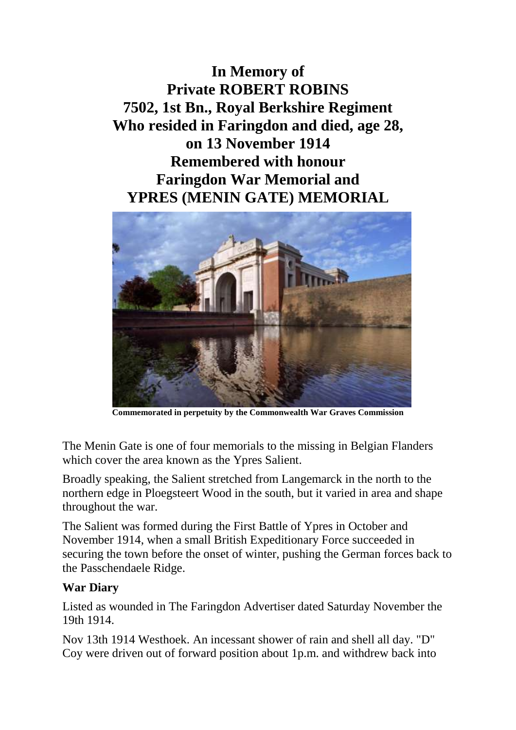**In Memory of Private ROBERT ROBINS 7502, 1st Bn., Royal Berkshire Regiment Who resided in Faringdon and died, age 28, on 13 November 1914 Remembered with honour Faringdon War Memorial and YPRES (MENIN GATE) MEMORIAL**



**Commemorated in perpetuity by the Commonwealth War Graves Commission**

The Menin Gate is one of four memorials to the missing in Belgian Flanders which cover the area known as the Ypres Salient.

Broadly speaking, the Salient stretched from Langemarck in the north to the northern edge in Ploegsteert Wood in the south, but it varied in area and shape throughout the war.

The Salient was formed during the First Battle of Ypres in October and November 1914, when a small British Expeditionary Force succeeded in securing the town before the onset of winter, pushing the German forces back to the Passchendaele Ridge.

## **War Diary**

Listed as wounded in The Faringdon Advertiser dated Saturday November the 19th 1914.

Nov 13th 1914 Westhoek. An incessant shower of rain and shell all day. "D" Coy were driven out of forward position about 1p.m. and withdrew back into